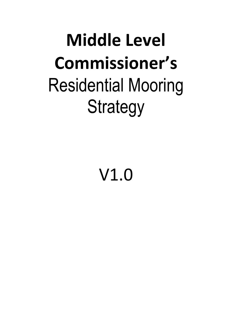# **Middle Level Commissioner's** Residential Mooring Strategy

V1.0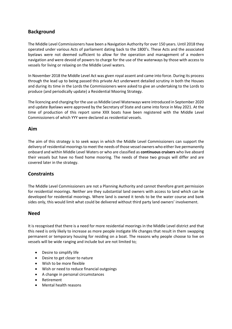# **Background**

The Middle Level Commissioners have been a Navigation Authority for over 150 years. Until 2018 they operated under various Acts of parliament dating back to the 1800's. These Acts and the associated byelaws were not deemed sufficient to allow for the operation and management of a modern navigation and were devoid of powers to charge for the use of the waterways by those with access to vessels for living or relaxing on the Middle Level waters.

In November 2018 the Middle Level Act was given royal assent and came into force. During its process through the lead up to being passed this private Act underwent detailed scrutiny in both the Houses and during its time in the Lords the Commissioners were asked to give an undertaking to the Lords to produce (and periodically update) a Residential Mooring Strategy.

The licencing and charging for the use us Middle Level Waterways were introduced in September 2020 and update Byelaws were approved by the Secretary of State and came into force in May 2021. At the time of production of this report some XXX boats have been registered with the Middle Level Commissioners of which YYY were declared as residential vessels.

#### **Aim**

The aim of this strategy is to seek ways in which the Middle Level Commissioners can support the delivery of residential moorings to meet the needs of those vessel owners who either live permanently onboard and within Middle Level Waters or who are classified as **continuous cruisers** who live aboard their vessels but have no fixed home mooring. The needs of these two groups will differ and are covered later in the strategy.

## **Constraints**

The Middle Level Commissioners are not a Planning Authority and cannot therefore grant permission for residential moorings. Neither are they substantial land owners with access to land which can be developed for residential moorings. Where land is owned it tends to be the water course and bank sides only, this would limit what could be delivered without third party land owners' involvement.

#### **Need**

It is recognised that there is a need for more residential moorings in the Middle Level district and that this need is only likely to increase as more people instigate life changes that result in them swapping permanent or temporary housing for residing on a boat. The reasons why people choose to live on vessels will be wide ranging and include but are not limited to;

- Desire to simplify life
- Desire to get closer to nature
- Wish to be more flexible
- Wish or need to reduce financial outgoings
- A change in personal circumstances
- Retirement
- Mental health reasons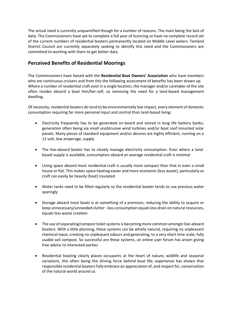The actual need is currently unquantified though for a number of reasons. The main being the lack of data. The Commissioners have yet to complete a full year of licencing so have no complete record set of the current numbers of residential boaters permanently located on Middle Level waters. Fenland District Council are currently separately seeking to identify this need and the Commissioners are committed to working with them to get better data.

# **Perceived Benefits of Residential Moorings**

The Commissioners have liaised with the **Residential Boat Owners' Association** who have members who are continuous cruisers and from this the following assessment of benefits has been drawn up. Where a number of residential craft exist in a single location, the manager and/or caretaker of the site often resides aboard a boat him/her-self, so removing the need for a land-based management dwelling.

Of necessity, residential boaters do tend to be environmentally low impact, every element of domestic consumption requiring far more personal input and control than land-based living:

- Electricity frequently has to be generated on-board and stored in long life battery banks; generation often being via small unobtrusive wind turbines and/or boat roof mounted solar panels. Many pieces of standard equipment and/or devices are highly efficient, running on a 12 volt, low amperage, supply
- The live-aboard boater has to closely manage electricity consumption. Even where a landbased supply is available, consumption aboard an average residential craft is minimal
- Living space aboard most residential craft is usually more compact than that in even a small house or flat. This makes space heating easier and more economic (less waste), particularly as craft can easily be heavily (heat) insulated
- Water tanks need to be filled regularly so the residential boater tends to use precious water sparingly
- Storage aboard most boats is at something of a premium, reducing the ability to acquire or keep unnecessary/unneeded clutter - less consumption equals less drain on natural resources, equals less waste creation
- The use of separating/compost toilet systems is becoming more common amongst live-aboard boaters. With a little planning, these systems can be wholly natural, requiring no unpleasant chemical input, creating no unpleasant odours and generating, to a very short time scale, fully usable soil compost. So successful are these systems, an online user forum has arisen giving free advice to interested parties
- Residential boating clearly places occupants at the heart of nature, wildlife and seasonal variations, this often being the driving force behind boat life; experience has shown that responsible residential boaters fully embrace an appreciation of, and respect for, conservation of the natural world around us